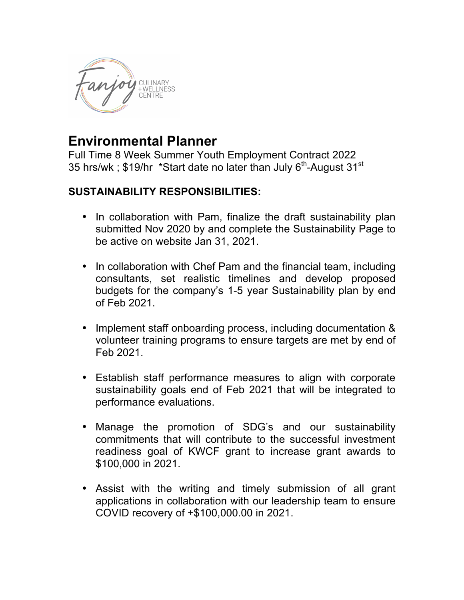

## **Environmental Planner**

Full Time 8 Week Summer Youth Employment Contract 2022 35 hrs/wk; \$19/hr \*Start date no later than July 6<sup>th</sup>-August 31<sup>st</sup>

## **SUSTAINABILITY RESPONSIBILITIES:**

- In collaboration with Pam, finalize the draft sustainability plan submitted Nov 2020 by and complete the Sustainability Page to be active on website Jan 31, 2021.
- In collaboration with Chef Pam and the financial team, including consultants, set realistic timelines and develop proposed budgets for the company's 1-5 year Sustainability plan by end of Feb 2021.
- Implement staff onboarding process, including documentation & volunteer training programs to ensure targets are met by end of Feb 2021.
- Establish staff performance measures to align with corporate sustainability goals end of Feb 2021 that will be integrated to performance evaluations.
- Manage the promotion of SDG's and our sustainability commitments that will contribute to the successful investment readiness goal of KWCF grant to increase grant awards to \$100,000 in 2021.
- Assist with the writing and timely submission of all grant applications in collaboration with our leadership team to ensure COVID recovery of +\$100,000.00 in 2021.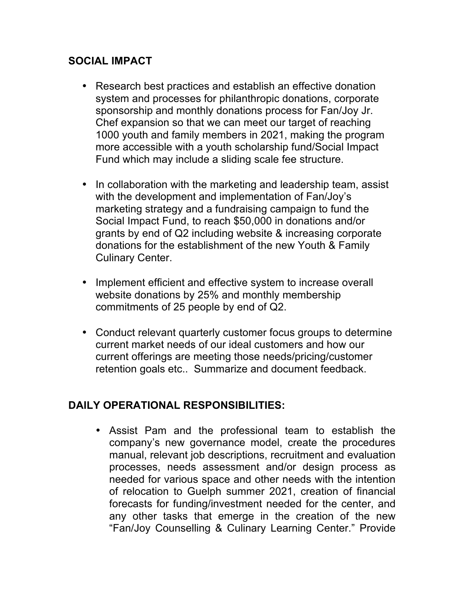## **SOCIAL IMPACT**

- Research best practices and establish an effective donation system and processes for philanthropic donations, corporate sponsorship and monthly donations process for Fan/Joy Jr. Chef expansion so that we can meet our target of reaching 1000 youth and family members in 2021, making the program more accessible with a youth scholarship fund/Social Impact Fund which may include a sliding scale fee structure.
- In collaboration with the marketing and leadership team, assist with the development and implementation of Fan/Joy's marketing strategy and a fundraising campaign to fund the Social Impact Fund, to reach \$50,000 in donations and/or grants by end of Q2 including website & increasing corporate donations for the establishment of the new Youth & Family Culinary Center.
- Implement efficient and effective system to increase overall website donations by 25% and monthly membership commitments of 25 people by end of Q2.
- Conduct relevant quarterly customer focus groups to determine current market needs of our ideal customers and how our current offerings are meeting those needs/pricing/customer retention goals etc.. Summarize and document feedback.

## **DAILY OPERATIONAL RESPONSIBILITIES:**

• Assist Pam and the professional team to establish the company's new governance model, create the procedures manual, relevant job descriptions, recruitment and evaluation processes, needs assessment and/or design process as needed for various space and other needs with the intention of relocation to Guelph summer 2021, creation of financial forecasts for funding/investment needed for the center, and any other tasks that emerge in the creation of the new "Fan/Joy Counselling & Culinary Learning Center." Provide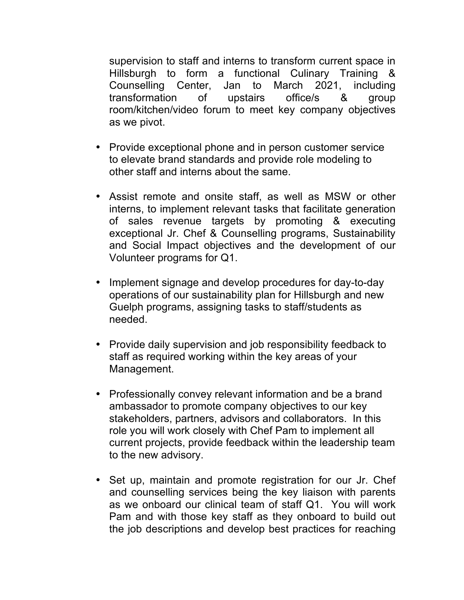supervision to staff and interns to transform current space in Hillsburgh to form a functional Culinary Training & Counselling Center, Jan to March 2021, including transformation of upstairs office/s & group room/kitchen/video forum to meet key company objectives as we pivot.

- Provide exceptional phone and in person customer service to elevate brand standards and provide role modeling to other staff and interns about the same.
- Assist remote and onsite staff, as well as MSW or other interns, to implement relevant tasks that facilitate generation of sales revenue targets by promoting & executing exceptional Jr. Chef & Counselling programs, Sustainability and Social Impact objectives and the development of our Volunteer programs for Q1.
- Implement signage and develop procedures for day-to-day operations of our sustainability plan for Hillsburgh and new Guelph programs, assigning tasks to staff/students as needed.
- Provide daily supervision and job responsibility feedback to staff as required working within the key areas of your Management.
- Professionally convey relevant information and be a brand ambassador to promote company objectives to our key stakeholders, partners, advisors and collaborators. In this role you will work closely with Chef Pam to implement all current projects, provide feedback within the leadership team to the new advisory.
- Set up, maintain and promote registration for our Jr. Chef and counselling services being the key liaison with parents as we onboard our clinical team of staff Q1. You will work Pam and with those key staff as they onboard to build out the job descriptions and develop best practices for reaching